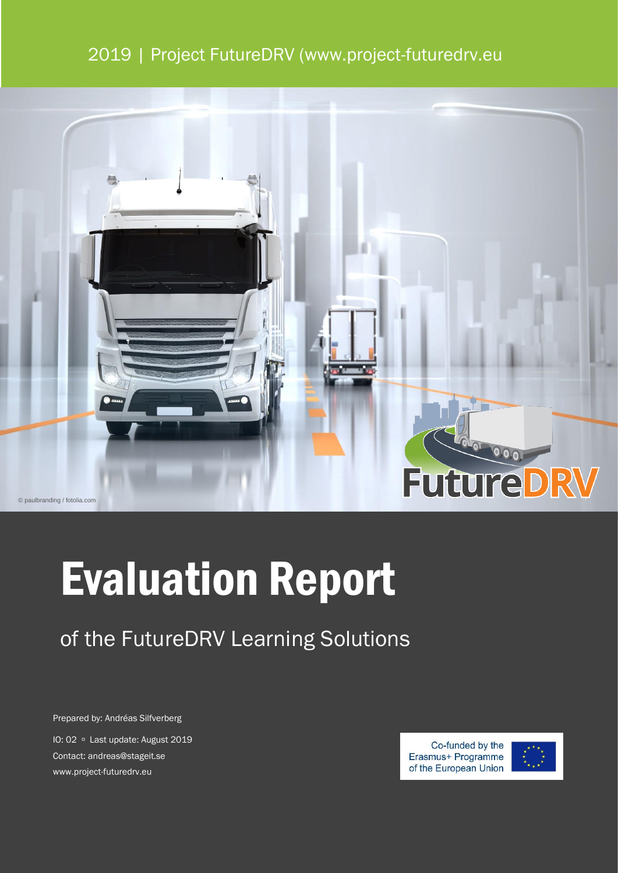## 2019 | Project FutureDRV (www.project-futuredrv.eu



# Evaluation Report

## of the FutureDRV Learning Solutions

Prepared by: Andréas Silfverberg

IO: 02 <sup>D</sup> Last update: August 2019 Contact: andreas@stageit.se www.project-futuredrv.eu



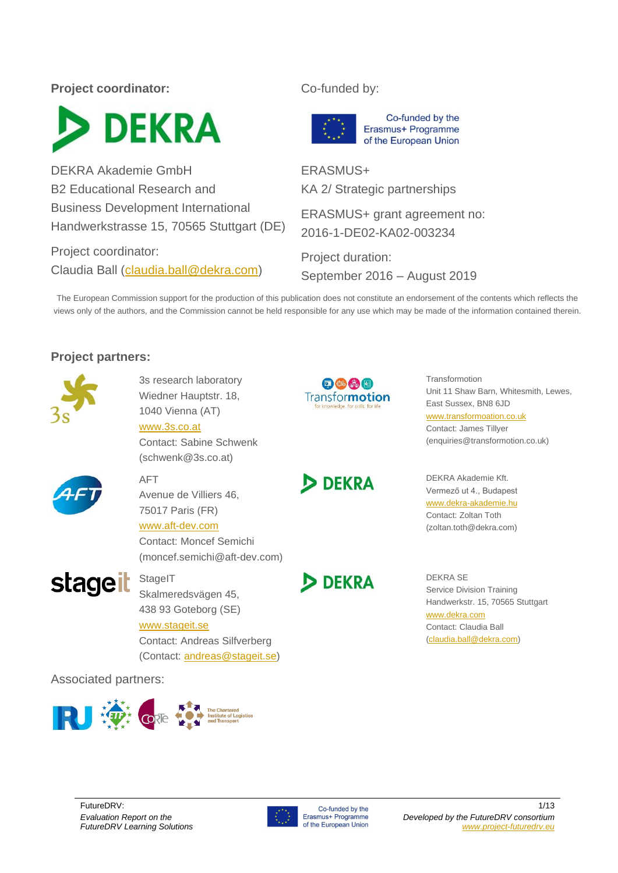## **Project coordinator:** Co-funded by:



DEKRA Akademie GmbH B2 Educational Research and Business Development International Handwerkstrasse 15, 70565 Stuttgart (DE)

Project coordinator: Claudia Ball [\(claudia.ball@dekra.com\)](mailto:claudia.ball@dekra.com)



ERASMUS+ KA 2/ Strategic partnerships

ERASMUS+ grant agreement no: 2016-1-DE02-KA02-003234

Project duration: September 2016 – August 2019

The European Commission support for the production of this publication does not constitute an endorsement of the contents which reflects the views only of the authors, and the Commission cannot be held responsible for any use which may be made of the information contained therein.

## **Project partners:**



3s research laboratory Wiedner Hauptstr. 18, 1040 Vienna (AT)

[www.3s.co.at](http://www.3s.co.at/)

Contact: Sabine Schwenk (schwenk@3s.co.at)



#### AFT Avenue de Villiers 46,

75017 Paris (FR)

[www.aft-dev.com](http://www.aft-dev.com/) Contact: Moncef Semichi (moncef.semichi@aft-dev.com)



**StageIT** Skalmeredsvägen 45,

## 438 93 Goteborg (SE)

[www.stageit.se](http://www.stageit.se/)

Contact: Andreas Silfverberg (Contact: [andreas@stageit.se\)](mailto:andreas@stageit.se)

**DEKRA** 

中国品口 **Transformotion** 



Transformotion Unit 11 Shaw Barn, Whitesmith, Lewes, East Sussex, BN8 6JD [www.transformoation.co.uk](http://www.transformoation.co.uk/) Contact: James Tillyer (enquiries@transformotion.co.uk)

DEKRA Akademie Kft. Vermező ut 4., Budapest [www.dekra-akademie.hu](http://www.dekra-akademie.hu/) Contact: Zoltan Toth (zoltan.toth@dekra.com)

DEKRA SE Service Division Training Handwerkstr. 15, 70565 Stuttgart [www.dekra.com](http://www.dekra.com/) Contact: Claudia Ball [\(claudia.ball@dekra.com\)](mailto:claudia.ball@dekra.com)

Associated partners:



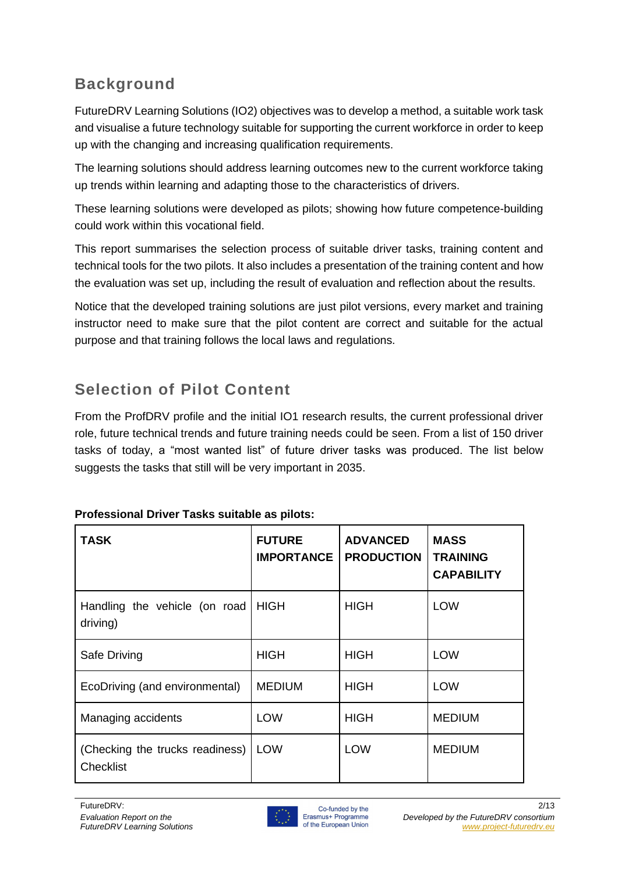## **Background**

FutureDRV Learning Solutions (IO2) objectives was to develop a method, a suitable work task and visualise a future technology suitable for supporting the current workforce in order to keep up with the changing and increasing qualification requirements.

The learning solutions should address learning outcomes new to the current workforce taking up trends within learning and adapting those to the characteristics of drivers.

These learning solutions were developed as pilots; showing how future competence-building could work within this vocational field.

This report summarises the selection process of suitable driver tasks, training content and technical tools for the two pilots. It also includes a presentation of the training content and how the evaluation was set up, including the result of evaluation and reflection about the results.

Notice that the developed training solutions are just pilot versions, every market and training instructor need to make sure that the pilot content are correct and suitable for the actual purpose and that training follows the local laws and regulations.

## **Selection of Pilot Content**

From the ProfDRV profile and the initial IO1 research results, the current professional driver role, future technical trends and future training needs could be seen. From a list of 150 driver tasks of today, a "most wanted list" of future driver tasks was produced. The list below suggests the tasks that still will be very important in 2035.

| <b>TASK</b>                                         | <b>FUTURE</b><br><b>IMPORTANCE</b> | <b>ADVANCED</b><br><b>PRODUCTION</b> | <b>MASS</b><br><b>TRAINING</b><br><b>CAPABILITY</b> |
|-----------------------------------------------------|------------------------------------|--------------------------------------|-----------------------------------------------------|
| Handling the vehicle (on road<br>driving)           | <b>HIGH</b>                        | <b>HIGH</b>                          | <b>LOW</b>                                          |
| Safe Driving                                        | <b>HIGH</b>                        | <b>HIGH</b>                          | <b>LOW</b>                                          |
| EcoDriving (and environmental)                      | <b>MEDIUM</b>                      | <b>HIGH</b>                          | <b>LOW</b>                                          |
| Managing accidents                                  | <b>LOW</b>                         | <b>HIGH</b>                          | <b>MEDIUM</b>                                       |
| (Checking the trucks readiness)<br><b>Checklist</b> | <b>LOW</b>                         | <b>LOW</b>                           | <b>MEDIUM</b>                                       |

## **Professional Driver Tasks suitable as pilots:**

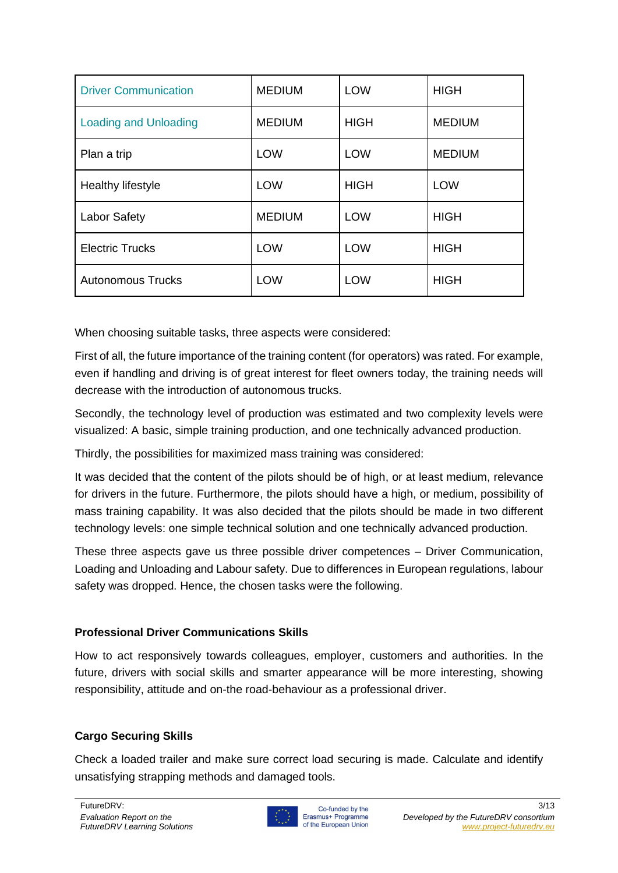| <b>Driver Communication</b>  | <b>MEDIUM</b> | <b>LOW</b>  | <b>HIGH</b>   |
|------------------------------|---------------|-------------|---------------|
| <b>Loading and Unloading</b> | <b>MEDIUM</b> | <b>HIGH</b> | <b>MEDIUM</b> |
| Plan a trip                  | <b>LOW</b>    | <b>LOW</b>  | <b>MEDIUM</b> |
| Healthy lifestyle            | <b>LOW</b>    | <b>HIGH</b> | <b>LOW</b>    |
| <b>Labor Safety</b>          | <b>MEDIUM</b> | <b>LOW</b>  | <b>HIGH</b>   |
| <b>Electric Trucks</b>       | <b>LOW</b>    | <b>LOW</b>  | <b>HIGH</b>   |
| <b>Autonomous Trucks</b>     | <b>LOW</b>    | <b>LOW</b>  | <b>HIGH</b>   |

When choosing suitable tasks, three aspects were considered:

First of all, the future importance of the training content (for operators) was rated. For example, even if handling and driving is of great interest for fleet owners today, the training needs will decrease with the introduction of autonomous trucks.

Secondly, the technology level of production was estimated and two complexity levels were visualized: A basic, simple training production, and one technically advanced production.

Thirdly, the possibilities for maximized mass training was considered:

It was decided that the content of the pilots should be of high, or at least medium, relevance for drivers in the future. Furthermore, the pilots should have a high, or medium, possibility of mass training capability. It was also decided that the pilots should be made in two different technology levels: one simple technical solution and one technically advanced production.

These three aspects gave us three possible driver competences – Driver Communication, Loading and Unloading and Labour safety. Due to differences in European regulations, labour safety was dropped. Hence, the chosen tasks were the following.

## **Professional Driver Communications Skills**

How to act responsively towards colleagues, employer, customers and authorities. In the future, drivers with social skills and smarter appearance will be more interesting, showing responsibility, attitude and on-the road-behaviour as a professional driver.

## **Cargo Securing Skills**

Check a loaded trailer and make sure correct load securing is made. Calculate and identify unsatisfying strapping methods and damaged tools.

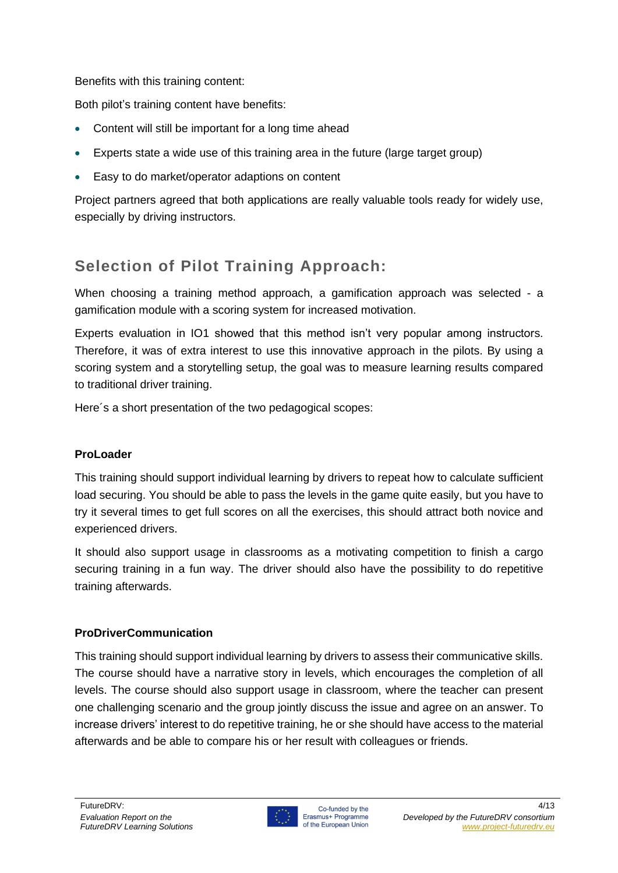Benefits with this training content:

Both pilot's training content have benefits:

- Content will still be important for a long time ahead
- Experts state a wide use of this training area in the future (large target group)
- Easy to do market/operator adaptions on content

Project partners agreed that both applications are really valuable tools ready for widely use, especially by driving instructors.

## **Selection of Pilot Training Approach:**

When choosing a training method approach, a gamification approach was selected - a gamification module with a scoring system for increased motivation.

Experts evaluation in IO1 showed that this method isn't very popular among instructors. Therefore, it was of extra interest to use this innovative approach in the pilots. By using a scoring system and a storytelling setup, the goal was to measure learning results compared to traditional driver training.

Here´s a short presentation of the two pedagogical scopes:

## **ProLoader**

This training should support individual learning by drivers to repeat how to calculate sufficient load securing. You should be able to pass the levels in the game quite easily, but you have to try it several times to get full scores on all the exercises, this should attract both novice and experienced drivers.

It should also support usage in classrooms as a motivating competition to finish a cargo securing training in a fun way. The driver should also have the possibility to do repetitive training afterwards.

## **ProDriverCommunication**

This training should support individual learning by drivers to assess their communicative skills. The course should have a narrative story in levels, which encourages the completion of all levels. The course should also support usage in classroom, where the teacher can present one challenging scenario and the group jointly discuss the issue and agree on an answer. To increase drivers' interest to do repetitive training, he or she should have access to the material afterwards and be able to compare his or her result with colleagues or friends.

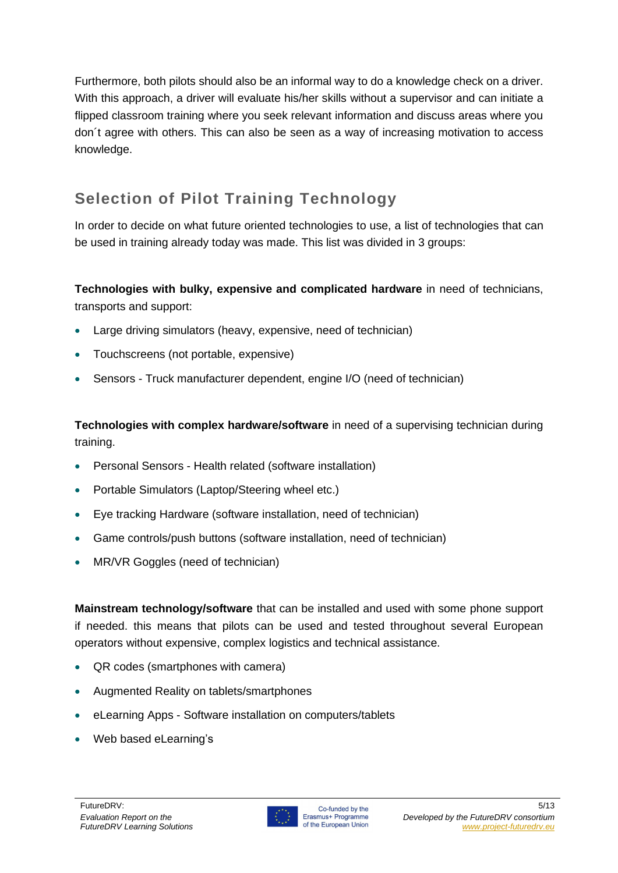Furthermore, both pilots should also be an informal way to do a knowledge check on a driver. With this approach, a driver will evaluate his/her skills without a supervisor and can initiate a flipped classroom training where you seek relevant information and discuss areas where you don´t agree with others. This can also be seen as a way of increasing motivation to access knowledge.

## **Selection of Pilot Training Technology**

In order to decide on what future oriented technologies to use, a list of technologies that can be used in training already today was made. This list was divided in 3 groups:

**Technologies with bulky, expensive and complicated hardware** in need of technicians, transports and support:

- Large driving simulators (heavy, expensive, need of technician)
- Touchscreens (not portable, expensive)
- Sensors Truck manufacturer dependent, engine I/O (need of technician)

**Technologies with complex hardware/software** in need of a supervising technician during training.

- Personal Sensors Health related (software installation)
- Portable Simulators (Laptop/Steering wheel etc.)
- Eye tracking Hardware (software installation, need of technician)
- Game controls/push buttons (software installation, need of technician)
- MR/VR Goggles (need of technician)

**Mainstream technology/software** that can be installed and used with some phone support if needed. this means that pilots can be used and tested throughout several European operators without expensive, complex logistics and technical assistance.

- QR codes (smartphones with camera)
- Augmented Reality on tablets/smartphones
- eLearning Apps Software installation on computers/tablets
- Web based eLearning's

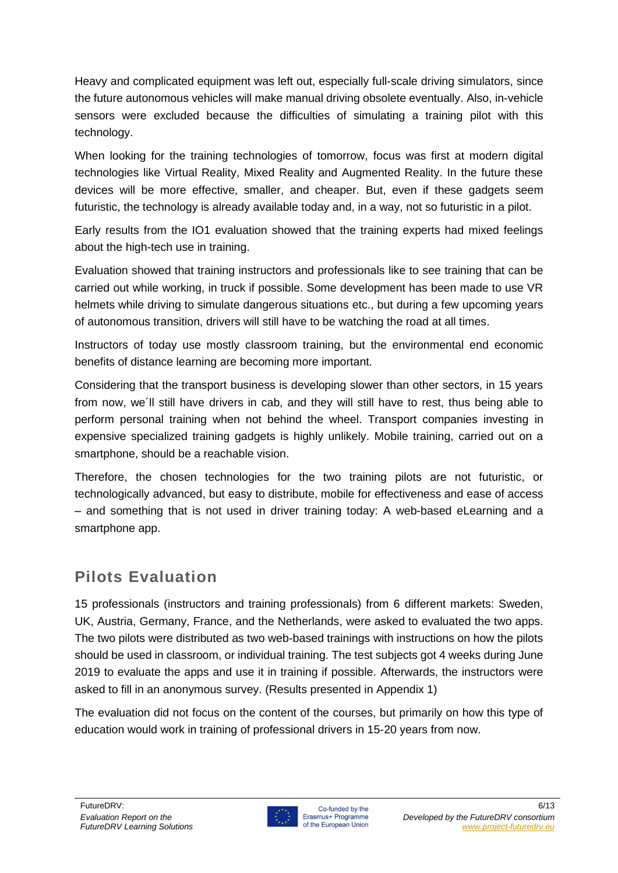Heavy and complicated equipment was left out, especially full-scale driving simulators, since the future autonomous vehicles will make manual driving obsolete eventually. Also, in-vehicle sensors were excluded because the difficulties of simulating a training pilot with this technology.

When looking for the training technologies of tomorrow, focus was first at modern digital technologies like Virtual Reality, Mixed Reality and Augmented Reality. In the future these devices will be more effective, smaller, and cheaper. But, even if these gadgets seem futuristic, the technology is already available today and, in a way, not so futuristic in a pilot.

Early results from the IO1 evaluation showed that the training experts had mixed feelings about the high-tech use in training.

Evaluation showed that training instructors and professionals like to see training that can be carried out while working, in truck if possible. Some development has been made to use VR helmets while driving to simulate dangerous situations etc., but during a few upcoming years of autonomous transition, drivers will still have to be watching the road at all times.

Instructors of today use mostly classroom training, but the environmental end economic benefits of distance learning are becoming more important.

Considering that the transport business is developing slower than other sectors, in 15 years from now, we´ll still have drivers in cab, and they will still have to rest, thus being able to perform personal training when not behind the wheel. Transport companies investing in expensive specialized training gadgets is highly unlikely. Mobile training, carried out on a smartphone, should be a reachable vision.

Therefore, the chosen technologies for the two training pilots are not futuristic, or technologically advanced, but easy to distribute, mobile for effectiveness and ease of access – and something that is not used in driver training today: A web-based eLearning and a smartphone app.

## **Pilots Evaluation**

15 professionals (instructors and training professionals) from 6 different markets: Sweden, UK, Austria, Germany, France, and the Netherlands, were asked to evaluated the two apps. The two pilots were distributed as two web-based trainings with instructions on how the pilots should be used in classroom, or individual training. The test subjects got 4 weeks during June 2019 to evaluate the apps and use it in training if possible. Afterwards, the instructors were asked to fill in an anonymous survey. (Results presented in Appendix 1)

The evaluation did not focus on the content of the courses, but primarily on how this type of education would work in training of professional drivers in 15-20 years from now.

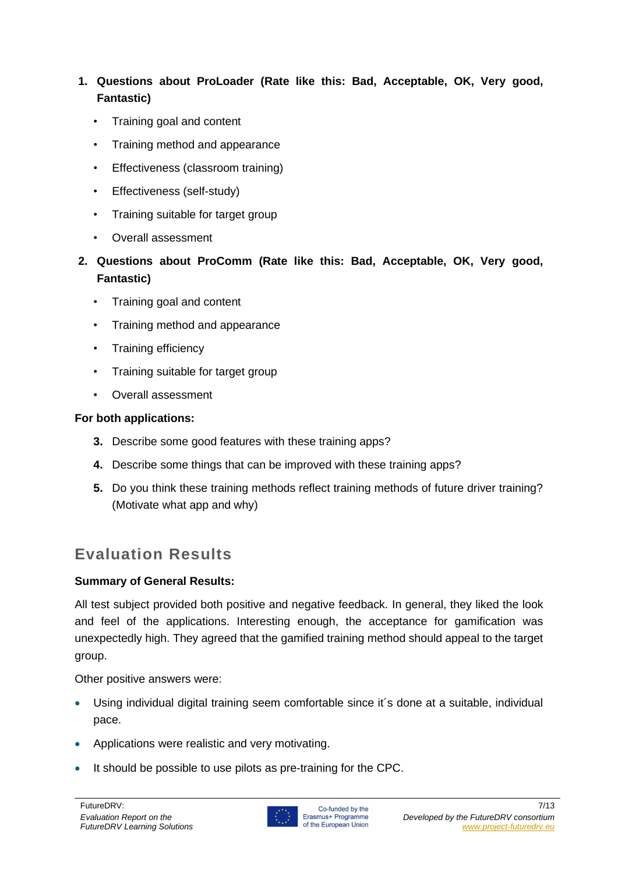## **1. Questions about ProLoader (Rate like this: Bad, Acceptable, OK, Very good, Fantastic)**

- Training goal and content
- Training method and appearance
- Effectiveness (classroom training)
- Effectiveness (self-study)
- Training suitable for target group
- Overall assessment
- **2. Questions about ProComm (Rate like this: Bad, Acceptable, OK, Very good, Fantastic)**
	- Training goal and content
	- Training method and appearance
	- Training efficiency
	- Training suitable for target group
	- Overall assessment

## **For both applications:**

- **3.** Describe some good features with these training apps?
- **4.** Describe some things that can be improved with these training apps?
- **5.** Do you think these training methods reflect training methods of future driver training? (Motivate what app and why)

## **Evaluation Results**

## **Summary of General Results:**

All test subject provided both positive and negative feedback. In general, they liked the look and feel of the applications. Interesting enough, the acceptance for gamification was unexpectedly high. They agreed that the gamified training method should appeal to the target group.

Other positive answers were:

- Using individual digital training seem comfortable since it´s done at a suitable, individual pace.
- Applications were realistic and very motivating.
- It should be possible to use pilots as pre-training for the CPC.

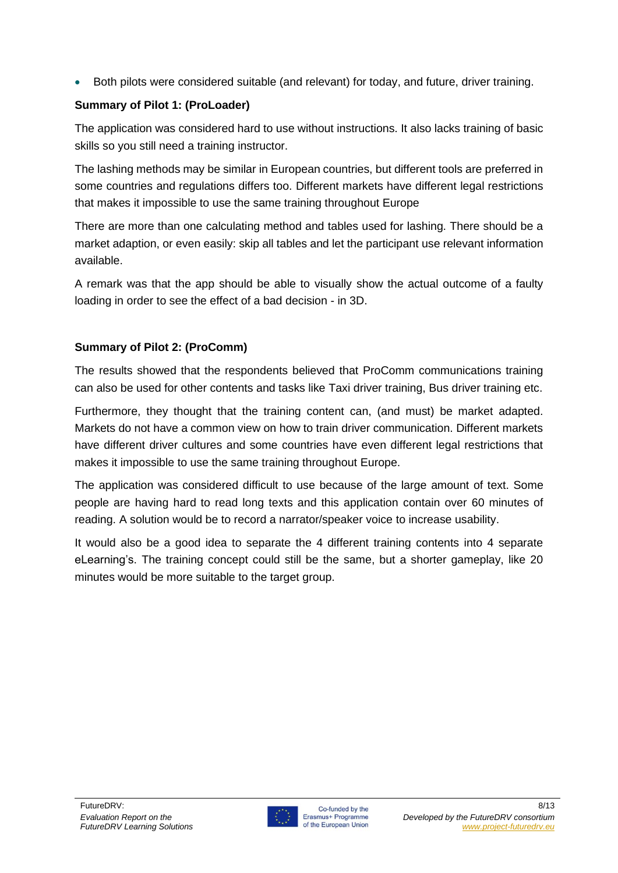• Both pilots were considered suitable (and relevant) for today, and future, driver training.

## **Summary of Pilot 1: (ProLoader)**

The application was considered hard to use without instructions. It also lacks training of basic skills so you still need a training instructor.

The lashing methods may be similar in European countries, but different tools are preferred in some countries and regulations differs too. Different markets have different legal restrictions that makes it impossible to use the same training throughout Europe

There are more than one calculating method and tables used for lashing. There should be a market adaption, or even easily: skip all tables and let the participant use relevant information available.

A remark was that the app should be able to visually show the actual outcome of a faulty loading in order to see the effect of a bad decision - in 3D.

## **Summary of Pilot 2: (ProComm)**

The results showed that the respondents believed that ProComm communications training can also be used for other contents and tasks like Taxi driver training, Bus driver training etc.

Furthermore, they thought that the training content can, (and must) be market adapted. Markets do not have a common view on how to train driver communication. Different markets have different driver cultures and some countries have even different legal restrictions that makes it impossible to use the same training throughout Europe.

The application was considered difficult to use because of the large amount of text. Some people are having hard to read long texts and this application contain over 60 minutes of reading. A solution would be to record a narrator/speaker voice to increase usability.

It would also be a good idea to separate the 4 different training contents into 4 separate eLearning's. The training concept could still be the same, but a shorter gameplay, like 20 minutes would be more suitable to the target group.

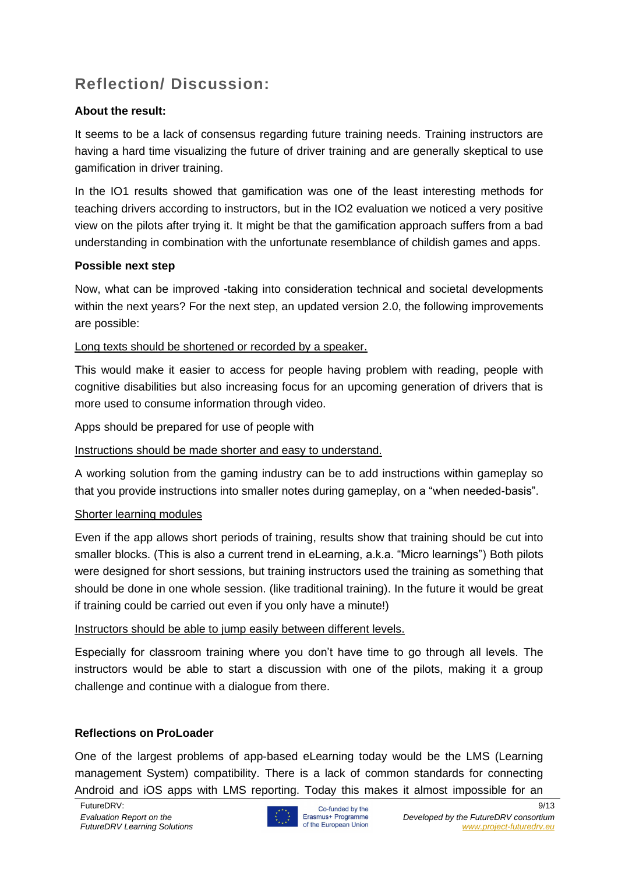## **Reflection/ Discussion:**

## **About the result:**

It seems to be a lack of consensus regarding future training needs. Training instructors are having a hard time visualizing the future of driver training and are generally skeptical to use gamification in driver training.

In the IO1 results showed that gamification was one of the least interesting methods for teaching drivers according to instructors, but in the IO2 evaluation we noticed a very positive view on the pilots after trying it. It might be that the gamification approach suffers from a bad understanding in combination with the unfortunate resemblance of childish games and apps.

## **Possible next step**

Now, what can be improved -taking into consideration technical and societal developments within the next years? For the next step, an updated version 2.0, the following improvements are possible:

Long texts should be shortened or recorded by a speaker.

This would make it easier to access for people having problem with reading, people with cognitive disabilities but also increasing focus for an upcoming generation of drivers that is more used to consume information through video.

Apps should be prepared for use of people with

Instructions should be made shorter and easy to understand.

A working solution from the gaming industry can be to add instructions within gameplay so that you provide instructions into smaller notes during gameplay, on a "when needed-basis".

## Shorter learning modules

Even if the app allows short periods of training, results show that training should be cut into smaller blocks. (This is also a current trend in eLearning, a.k.a. "Micro learnings") Both pilots were designed for short sessions, but training instructors used the training as something that should be done in one whole session. (like traditional training). In the future it would be great if training could be carried out even if you only have a minute!)

## Instructors should be able to jump easily between different levels.

Especially for classroom training where you don't have time to go through all levels. The instructors would be able to start a discussion with one of the pilots, making it a group challenge and continue with a dialogue from there.

## **Reflections on ProLoader**

One of the largest problems of app-based eLearning today would be the LMS (Learning management System) compatibility. There is a lack of common standards for connecting Android and iOS apps with LMS reporting. Today this makes it almost impossible for an

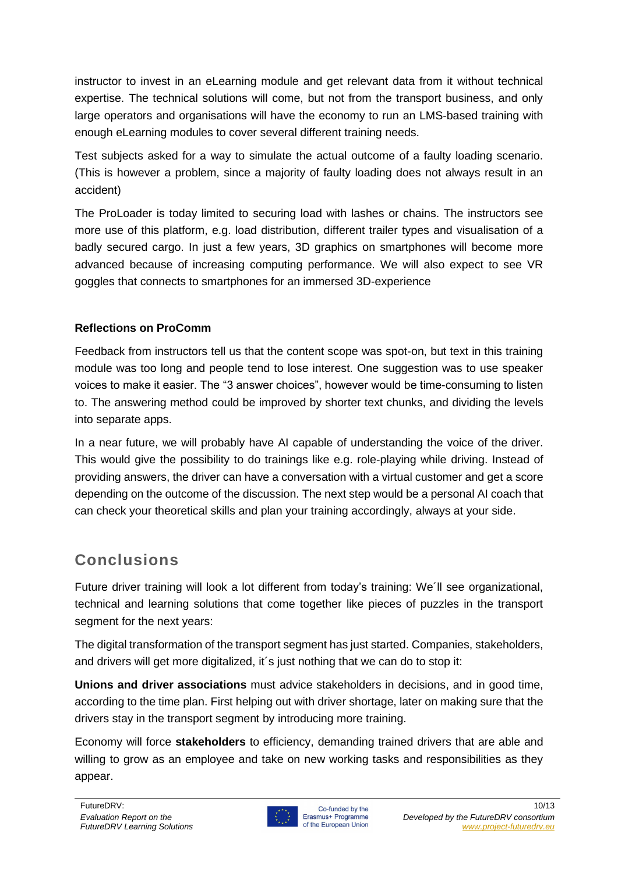instructor to invest in an eLearning module and get relevant data from it without technical expertise. The technical solutions will come, but not from the transport business, and only large operators and organisations will have the economy to run an LMS-based training with enough eLearning modules to cover several different training needs.

Test subjects asked for a way to simulate the actual outcome of a faulty loading scenario. (This is however a problem, since a majority of faulty loading does not always result in an accident)

The ProLoader is today limited to securing load with lashes or chains. The instructors see more use of this platform, e.g. load distribution, different trailer types and visualisation of a badly secured cargo. In just a few years, 3D graphics on smartphones will become more advanced because of increasing computing performance. We will also expect to see VR goggles that connects to smartphones for an immersed 3D-experience

## **Reflections on ProComm**

Feedback from instructors tell us that the content scope was spot-on, but text in this training module was too long and people tend to lose interest. One suggestion was to use speaker voices to make it easier. The "3 answer choices", however would be time-consuming to listen to. The answering method could be improved by shorter text chunks, and dividing the levels into separate apps.

In a near future, we will probably have AI capable of understanding the voice of the driver. This would give the possibility to do trainings like e.g. role-playing while driving. Instead of providing answers, the driver can have a conversation with a virtual customer and get a score depending on the outcome of the discussion. The next step would be a personal AI coach that can check your theoretical skills and plan your training accordingly, always at your side.

## **Conclusions**

Future driver training will look a lot different from today's training: We´ll see organizational, technical and learning solutions that come together like pieces of puzzles in the transport segment for the next years:

The digital transformation of the transport segment has just started. Companies, stakeholders, and drivers will get more digitalized, it´s just nothing that we can do to stop it:

**Unions and driver associations** must advice stakeholders in decisions, and in good time, according to the time plan. First helping out with driver shortage, later on making sure that the drivers stay in the transport segment by introducing more training.

Economy will force **stakeholders** to efficiency, demanding trained drivers that are able and willing to grow as an employee and take on new working tasks and responsibilities as they appear.

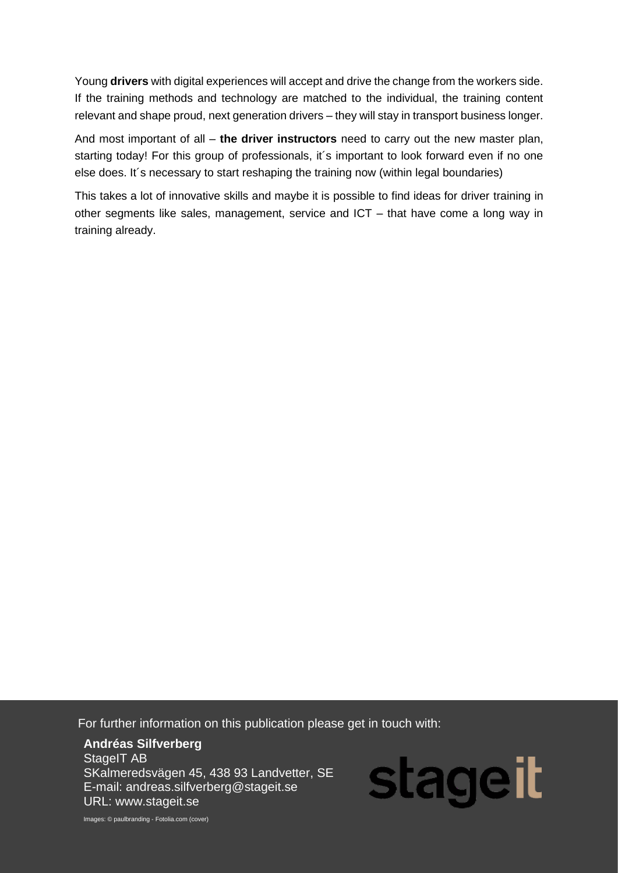Young **drivers** with digital experiences will accept and drive the change from the workers side. If the training methods and technology are matched to the individual, the training content relevant and shape proud, next generation drivers – they will stay in transport business longer.

And most important of all – **the driver instructors** need to carry out the new master plan, starting today! For this group of professionals, it´s important to look forward even if no one else does. It´s necessary to start reshaping the training now (within legal boundaries)

This takes a lot of innovative skills and maybe it is possible to find ideas for driver training in other segments like sales, management, service and ICT – that have come a long way in training already.

For further information on this publication please get in touch with:

URL: www.stageit.se experience of the contract of the contract of the contract of the contract of the contract of the contract of the contract of the contract of the contract of the contract of the contract of the contract **Andréas Silfverberg** StageIT AB SKalmeredsvägen 45, 438 93 Landvetter, SE E-mail: andreas.silfverberg@stageit.se

*Evaluation Report on the*  Images: © paulbranding - Fotolia.com (cover)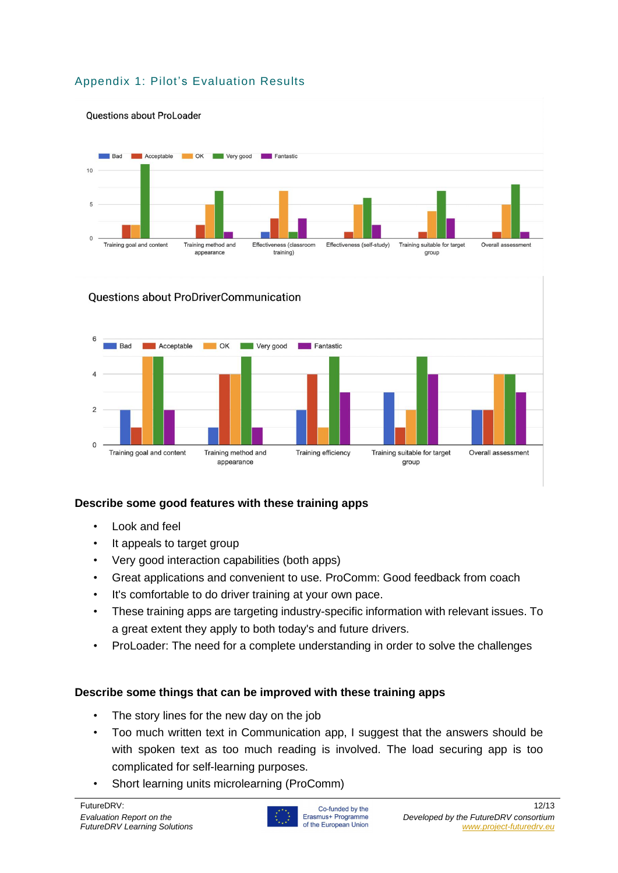## Appendix 1: Pilot's Evaluation Results



#### Questions about ProDriverCommunication



## **Describe some good features with these training apps**

- Look and feel
- It appeals to target group
- Very good interaction capabilities (both apps)
- Great applications and convenient to use. ProComm: Good feedback from coach
- It's comfortable to do driver training at your own pace.
- These training apps are targeting industry-specific information with relevant issues. To a great extent they apply to both today's and future drivers.
- ProLoader: The need for a complete understanding in order to solve the challenges

## **Describe some things that can be improved with these training apps**

- The story lines for the new day on the job
- Too much written text in Communication app, I suggest that the answers should be with spoken text as too much reading is involved. The load securing app is too complicated for self-learning purposes.
- Short learning units microlearning (ProComm)